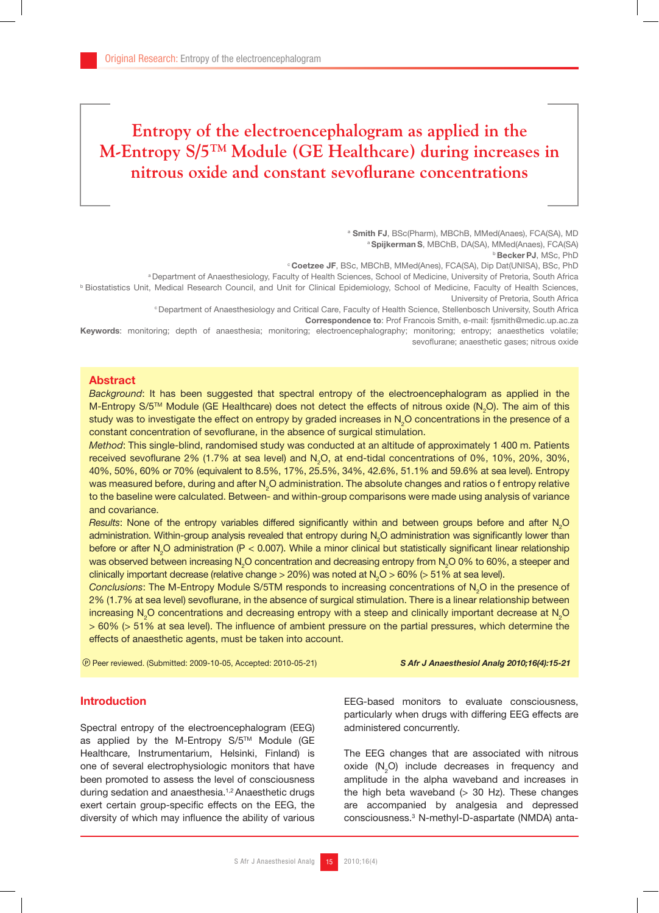# **Entropy of the electroencephalogram as applied in the M-Entropy S/5TM Module (GE Healthcare) during increases in nitrous oxide and constant sevoflurane concentrations**

a Smith FJ, BSc(Pharm), MBChB, MMed(Anaes), FCA(SA), MD a Spijkerman S, MBChB, DA(SA), MMed(Anaes), FCA(SA)<br>b Becker PJ, MSc, PhD

<sup>c</sup> Coetzee JF, BSc, MBChB, MMed(Anes), FCA(SA), Dip Dat(UNISA), BSc, PhD

a Department of Anaesthesiology, Faculty of Health Sciences, School of Medicine, University of Pretoria, South Africa

b Biostatistics Unit, Medical Research Council, and Unit for Clinical Epidemiology, School of Medicine, Faculty of Health Sciences, University of Pretoria, South Africa

c Department of Anaesthesiology and Critical Care, Faculty of Health Science, Stellenbosch University, South Africa

Correspondence to: Prof Francois Smith, e-mail: fjsmith@medic.up.ac.za

Keywords: monitoring; depth of anaesthesia; monitoring; electroencephalography; monitoring; entropy; anaesthetics volatile; sevo flurane; anaesthetic gases; nitrous oxide

# Abstract

*Background*: It has been suggested that spectral entropy of the electroencephalogram as applied in the M-Entropy S/5™ Module (GE Healthcare) does not detect the effects of nitrous oxide (N<sub>2</sub>O). The aim of this study was to investigate the effect on entropy by graded increases in  $\textsf{N}_2\textsf{O}$  concentrations in the presence of a constant concentration of sevoflurane, in the absence of surgical stimulation.

*Method*: This single-blind, randomised study was conducted at an altitude of approximately 1 400 m. Patients received sevoflurane 2% (1.7% at sea level) and N<sub>2</sub>O, at end-tidal concentrations of 0%, 10%, 20%, 30%, 40%, 50%, 60% or 70% (equivalent to 8.5%, 17%, 25.5%, 34%, 42.6%, 51.1% and 59.6% at sea level). Entropy was measured before, during and after N<sub>2</sub>O administration. The absolute changes and ratios o f entropy relative to the baseline were calculated. Between- and within-group comparisons were made using analysis of variance and covariance.

Results: None of the entropy variables differed significantly within and between groups before and after N<sub>2</sub>O administration. Within-group analysis revealed that entropy during  $\mathsf{N}_2\mathsf{O}$  administration was significantly lower than before or after N<sub>2</sub>O administration (P < 0.007). While a minor clinical but statistically significant linear relationship was observed between increasing N<sub>2</sub>O concentration and decreasing entropy from N<sub>2</sub>O 0% to 60%, a steeper and clinically important decrease (relative change > 20%) was noted at  $\rm N_{2}O$  > 60% (> 51% at sea level).

Conclusions: The M-Entropy Module S/5TM responds to increasing concentrations of N<sub>2</sub>O in the presence of 2% (1.7% at sea level) sevoflurane, in the absence of surgical stimulation. There is a linear relationship between increasing N<sub>2</sub>O concentrations and decreasing entropy with a steep and clinically important decrease at N<sub>2</sub>O  $> 60\%$  ( $> 51\%$  at sea level). The influence of ambient pressure on the partial pressures, which determine the effects of anaesthetic agents, must be taken into account.

Peer reviewed. (Submitted: 2009-10-05, Accepted: 2010-05-21) *S Afr J Anaesthesiol Analg 2010;16(4):15-21*

### Introduction

Spectral entropy of the electroencephalogram (EEG) as applied by the M-Entropy S/5™ Module (GE Healthcare, Instrumentarium, Helsinki, Finland) is one of several electrophysiologic monitors that have been promoted to assess the level of consciousness during sedation and anaesthesia.1,2 Anaesthetic drugs exert certain group-specific effects on the EEG, the diversity of which may influence the ability of various

EEG-based monitors to evaluate consciousness, particularly when drugs with differing EEG effects are administered concurrently.

The EEG changes that are associated with nitrous oxide  $(N_2O)$  include decreases in frequency and amplitude in the alpha waveband and increases in the high beta waveband  $(> 30$  Hz). These changes are accompanied by analgesia and depressed consciousness.3 N-methyl-D-aspartate (NMDA) anta-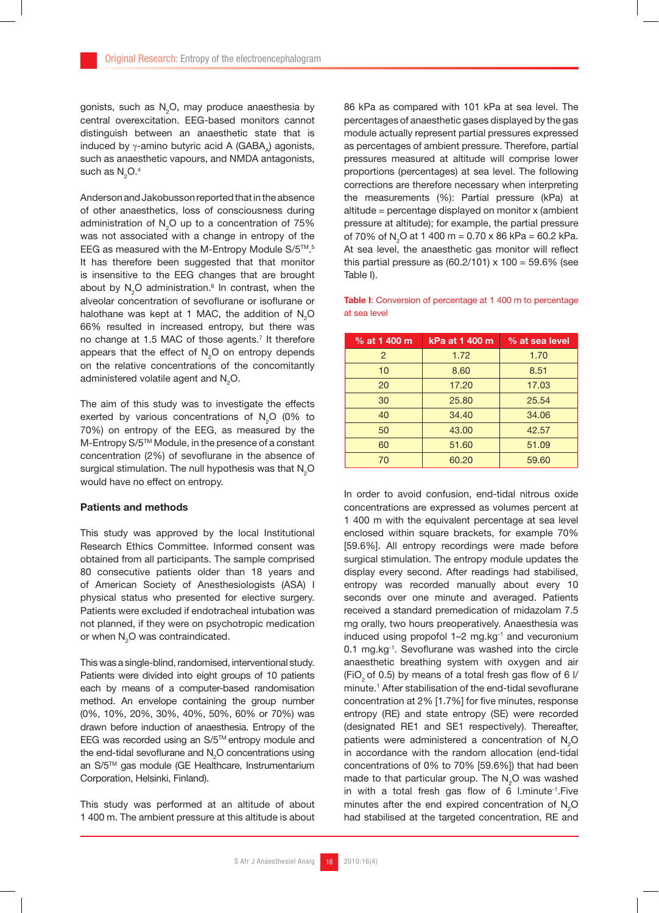gonists, such as  $\mathsf{N}_{2}\mathsf{O},$  may produce anaesthesia by central overexcitation. EEG-based monitors cannot distinguish between an anaesthetic state that is induced by  $\gamma$ -amino butyric acid A (GABA) agonists, such as anaesthetic vapours, and NMDA antagonists, such as  $\mathsf{N}_{2}\mathsf{O}.4$ 

Anderson and Jakobusson reported that in the absence of other anaesthetics, loss of consciousness during administration of  $\textsf{N}_{2}\textsf{O}$  up to a concentration of 75% was not associated with a change in entropy of the EEG as measured with the M-Entropy Module S/5™.<sup>5</sup> It has therefore been suggested that that monitor is insensitive to the EEG changes that are brought about by  $\mathsf{N}_2\mathsf{O}$  administration.<sup>6</sup> In contrast, when the alveolar concentration of sevoflurane or isoflurane or halothane was kept at 1 MAC, the addition of  $N_{2}$ O 66% resulted in increased entropy, but there was no change at 1.5 MAC of those agents.<sup>7</sup> It therefore appears that the effect of  $N_{2}$ O on entropy depends on the relative concentrations of the concomitantly administered volatile agent and  $\mathsf{N}_{2}\mathsf{O}.$ 

The aim of this study was to investigate the effects exerted by various concentrations of  $N_2O$  (0% to 70%) on entropy of the EEG, as measured by the M-Entropy S/5TM Module, in the presence of a constant concentration (2%) of sevoflurane in the absence of surgical stimulation. The null hypothesis was that  $\mathsf{N}_{\mathsf{2}}\mathsf{O}$ would have no effect on entropy.

#### Patients and methods

This study was approved by the local Institutional Research Ethics Committee. Informed consent was obtained from all participants. The sample comprised 80 consecutive patients older than 18 years and of American Society of Anesthesiologists (ASA) I physical status who presented for elective surgery. Patients were excluded if endotracheal intubation was not planned, if they were on psychotropic medication or when  $\mathsf{N}_{2}\mathsf{O}$  was contraindicated.

This was a single-blind, randomised, interventional study. Patients were divided into eight groups of 10 patients each by means of a computer-based randomisation method. An envelope containing the group number (0%, 10%, 20%, 30%, 40%, 50%, 60% or 70%) was drawn before induction of anaesthesia. Entropy of the EEG was recorded using an S/5™ entropy module and the end-tidal sevoflurane and  $N_2O$  concentrations using an S/5TM gas module (GE Healthcare, Instrumentarium Corporation, Helsinki, Finland).

This study was performed at an altitude of about 1 400 m. The ambient pressure at this altitude is about 86 kPa as compared with 101 kPa at sea level. The percentages of anaesthetic gases displayed by the gas module actually represent partial pressures expressed as percentages of ambient pressure. Therefore, partial pressures measured at altitude will comprise lower proportions (percentages) at sea level. The following corrections are therefore necessary when interpreting the measurements (%): Partial pressure (kPa) at altitude = percentage displayed on monitor x (ambient pressure at altitude); for example, the partial pressure of 70% of N<sub>2</sub>O at 1 400 m = 0.70 x 86 kPa = 60.2 kPa. At sea level, the anaesthetic gas monitor will reflect this partial pressure as  $(60.2/101) \times 100 = 59.6\%$  (see Table I).

Table I: Conversion of percentage at 1 400 m to percentage at sea level

| % at 1 400 m   | kPa at 1 400 m | % at sea level |  |
|----------------|----------------|----------------|--|
| $\overline{2}$ | 1.72           | 1.70           |  |
| 10             | 8.60           | 8.51           |  |
| 20             | 17.20          | 17.03          |  |
| 30             | 25.80          | 25.54          |  |
| 40             | 34.40          | 34.06          |  |
| 50             | 43.00          | 42.57          |  |
| 60             | 51.60          | 51.09          |  |
| 70             | 60.20          | 59.60          |  |

In order to avoid confusion, end-tidal nitrous oxide concentrations are expressed as volumes percent at 1 400 m with the equivalent percentage at sea level enclosed within square brackets, for example 70% [59.6%]. All entropy recordings were made before surgical stimulation. The entropy module updates the display every second. After readings had stabilised, entropy was recorded manually about every 10 seconds over one minute and averaged. Patients received a standard premedication of midazolam 7.5 mg orally, two hours preoperatively. Anaesthesia was induced using propofol  $1-2$  mg.kg $^{-1}$  and vecuronium  $0.1$  mg.kg $^{-1}$ . Sevoflurane was washed into the circle anaesthetic breathing system with oxygen and air (FiO<sub>2</sub> of 0.5) by means of a total fresh gas flow of 6  $\frac{1}{2}$ minute.<sup>1</sup> After stabilisation of the end-tidal sevoflurane concentration at 2% [1.7%] for five minutes, response entropy (RE) and state entropy (SE) were recorded (designated RE1 and SE1 respectively). Thereafter, patients were administered a concentration of  $N_2$ O in accordance with the random allocation (end-tidal concentrations of 0% to 70% [59.6%]) that had been made to that particular group. The  $N_2O$  was washed in with a total fresh gas flow of 6 l.minute-1.Five minutes after the end expired concentration of  $N_{2}O$ had stabilised at the targeted concentration, RE and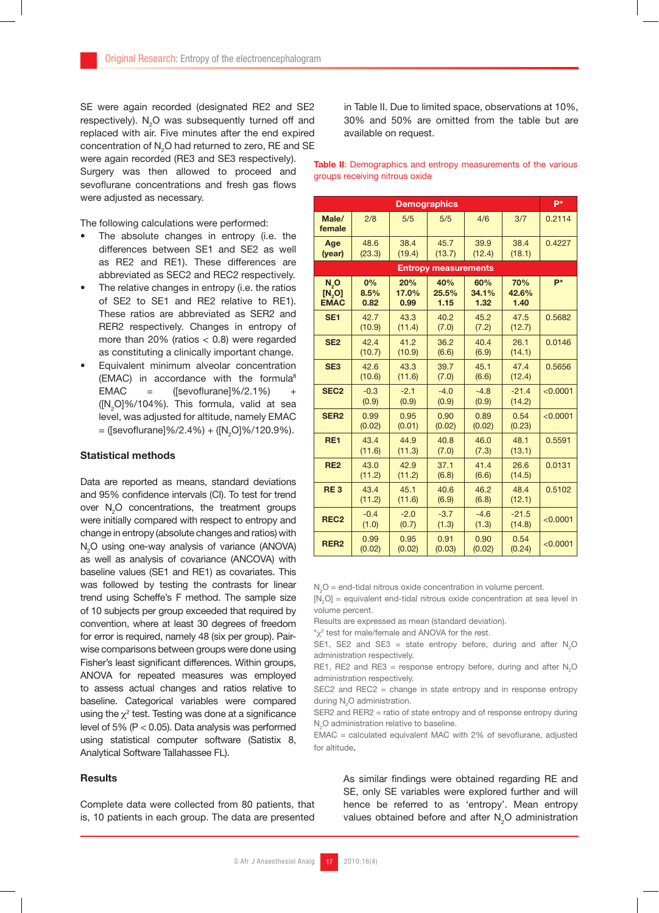SE were again recorded (designated RE2 and SE2 respectively).  $\text{N}_2\text{O}$  was subsequently turned off and replaced with air. Five minutes after the end expired concentration of  $\mathsf{N}_{2}\mathsf{O}$  had returned to zero, RE and SE were again recorded (RE3 and SE3 respectively).

Surgery was then allowed to proceed and sevo flurane concentrations and fresh gas flows were adjusted as necessary.

The following calculations were performed:

- The absolute changes in entropy (i.e. the differences between SE1 and SE2 as well as RE2 and RE1). These differences are abbreviated as SEC2 and REC2 respectively.
- The relative changes in entropy (i.e. the ratios of SE2 to SE1 and RE2 relative to RE1). These ratios are abbreviated as SER2 and RER2 respectively. Changes in entropy of more than  $20\%$  (ratios  $< 0.8$ ) were regarded as constituting a clinically important change.
- Equivalent minimum alveolar concentration (EMAC) in accordance with the formula<sup>8</sup>  $EMAC = ([sevolurane] \% / 2.1%) +$  $([N_2O]\%/104\%)$ . This formula, valid at sea level, was adjusted for altitude, namely EMAC = ([sevoflurane]%/2.4%) + ([N<sub>2</sub>O]%/120.9%).

## Statistical methods

Data are reported as means, standard deviations and 95% confidence intervals (CI). To test for trend over  $N_2O$  concentrations, the treatment groups were initially compared with respect to entropy and change in entropy (absolute changes and ratios) with N<sub>2</sub>O using one-way analysis of variance (ANOVA) as well as analysis of covariance (ANCOVA) with baseline values (SE1 and RE1) as covariates. This was followed by testing the contrasts for linear trend using Scheffe's F method. The sample size of 10 subjects per group exceeded that required by convention, where at least 30 degrees of freedom for error is required, namely 48 (six per group). Pairwise comparisons between groups were done using Fisher's least significant differences. Within groups, ANOVA for repeated measures was employed to assess actual changes and ratios relative to baseline. Categorical variables were compared using the  $\chi^2$  test. Testing was done at a significance level of 5% (P < 0.05). Data analysis was performed using statistical computer software (Satistix 8, Analytical Software Tallahassee FL).

#### **Results**

Complete data were collected from 80 patients, that is, 10 patients in each group. The data are presented

in Table II. Due to limited space, observations at 10%, 30% and 50% are omitted from the table but are available on request.

Table II: Demographics and entropy measurements of the various groups receiving nitrous oxide

| <b>Demographics</b>            |                    |                      |                      |                      |                             | p*       |  |
|--------------------------------|--------------------|----------------------|----------------------|----------------------|-----------------------------|----------|--|
| Male/<br>female                | 2/8                | 5/5                  | 5/5                  | 4/6                  | 3/7                         | 0.2114   |  |
| Age<br>(year)                  | 48.6<br>(23.3)     | 38.4<br>(19.4)       | 45.7<br>(13.7)       | 39.9<br>(12.4)       | 38.4<br>(18.1)              | 0.4227   |  |
| <b>Entropy measurements</b>    |                    |                      |                      |                      |                             |          |  |
| $N_0$<br>[N, O]<br><b>EMAC</b> | 0%<br>8.5%<br>0.82 | 20%<br>17.0%<br>0.99 | 40%<br>25.5%<br>1.15 | 60%<br>34.1%<br>1.32 | <b>70%</b><br>42.6%<br>1.40 | $P^*$    |  |
| SE <sub>1</sub>                | 42.7<br>(10.9)     | 43.3<br>(11.4)       | 40.2<br>(7.0)        | 45.2<br>(7.2)        | 47.5<br>(12.7)              | 0.5682   |  |
| SE <sub>2</sub>                | 42.4<br>(10.7)     | 41.2<br>(10.9)       | 36.2<br>(6.6)        | 40.4<br>(6.9)        | 26.1<br>(14.1)              | 0.0146   |  |
| SE <sub>3</sub>                | 42.6<br>(10.6)     | 43.3<br>(11.6)       | 39.7<br>(7.0)        | 45.1<br>(6.6)        | 47.4<br>(12.4)              | 0.5656   |  |
| SEC <sub>2</sub>               | $-0.3$<br>(0.9)    | $-2.1$<br>(0.9)      | $-4.0$<br>(0.9)      | $-4.8$<br>(0.9)      | $-21.4$<br>(14.2)           | < 0.0001 |  |
| SER <sub>2</sub>               | 0.99<br>(0.02)     | 0.95<br>(0.01)       | 0.90<br>(0.02)       | 0.89<br>(0.02)       | 0.54<br>(0.23)              | < 0.0001 |  |
| RE <sub>1</sub>                | 43.4<br>(11.6)     | 44.9<br>(11.3)       | 40.8<br>(7.0)        | 46.0<br>(7.3)        | 48.1<br>(13.1)              | 0.5591   |  |
| <b>RE2</b>                     | 43.0<br>(11.2)     | 42.9<br>(11.2)       | 37.1<br>(6.8)        | 41.4<br>(6.6)        | 26.6<br>(14.5)              | 0.0131   |  |
| RE <sub>3</sub>                | 43.4<br>(11.2)     | 45.1<br>(11.6)       | 40.6<br>(6.9)        | 46.2<br>(6.8)        | 48.4<br>(12.1)              | 0.5102   |  |
| REC <sub>2</sub>               | $-0.4$<br>(1.0)    | $-2.0$<br>(0.7)      | $-3.7$<br>(1.3)      | $-4.6$<br>(1.3)      | $-21.5$<br>(14.8)           | < 0.0001 |  |
| RER <sub>2</sub>               | 0.99<br>(0.02)     | 0.95<br>(0.02)       | 0.91<br>(0.03)       | 0.90<br>(0.02)       | 0.54<br>(0.24)              | < 0.0001 |  |

 $N_2O$  = end-tidal nitrous oxide concentration in volume percent.

 $[N_2O]$  = equivalent end-tidal nitrous oxide concentration at sea level in volume percent.

Results are expressed as mean (standard deviation).

 $\chi^2$  test for male/female and ANOVA for the rest.

SE1, SE2 and SE3 = state entropy before, during and after  $N_2O$ administration respectively.

RE1, RE2 and RE3 = response entropy before, during and after  $N_2O$ administration respectively.

SEC2 and REC2 = change in state entropy and in response entropy during  $N_2O$  administration.

SER2 and RER2 = ratio of state entropy and of response entropy during  $N_{2}$ O administration relative to baseline.

 $EMAC = calculated$  equivalent MAC with 2% of sevoflurane, adjusted for altitude.

> As similar findings were obtained regarding RE and SE, only SE variables were explored further and will hence be referred to as 'entropy'. Mean entropy values obtained before and after  $N_{2}$ O administration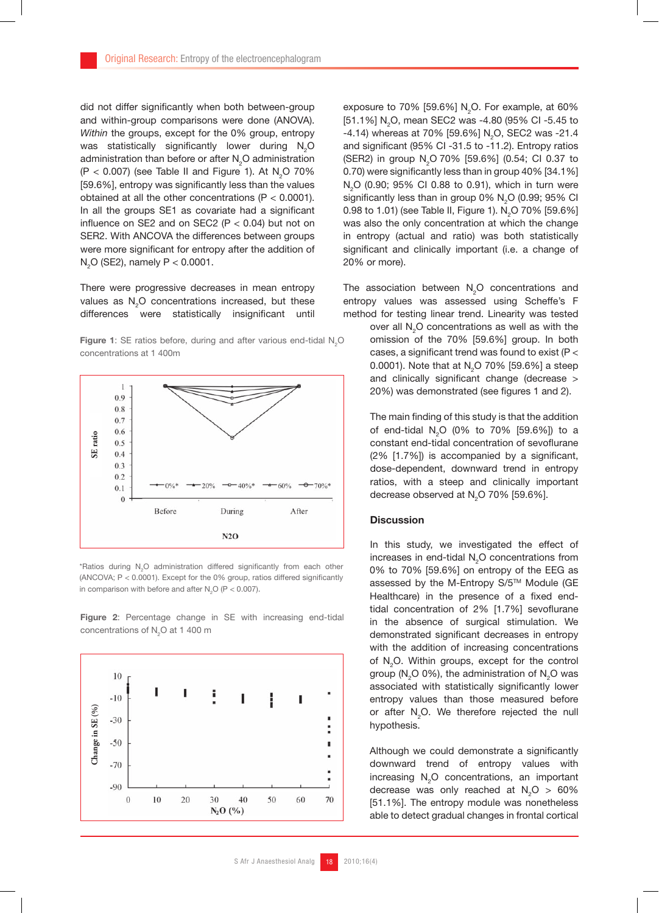did not differ significantly when both between-group and within-group comparisons were done (ANOVA). *Within* the groups, except for the 0% group, entropy was statistically significantly lower during  $N_2O$ administration than before or after  $\mathsf{N}_{2}\mathsf{O}$  administration  $(P < 0.007)$  (see Table II and Figure 1). At N<sub>2</sub>O 70% [59.6%], entropy was significantly less than the values obtained at all the other concentrations (P < 0.0001). In all the groups SE1 as covariate had a significant influence on SE2 and on SEC2 ( $P < 0.04$ ) but not on SER2. With ANCOVA the differences between groups were more significant for entropy after the addition of  $N_2O$  (SE2), namely  $P < 0.0001$ .

There were progressive decreases in mean entropy values as  $N_2O$  concentrations increased, but these differences were statistically insignificant until

**Figure 1:** SE ratios before, during and after various end-tidal  $N_2O$ concentrations at 1 400m



\*Ratios during  $N_2O$  administration differed significantly from each other (ANCOVA;  $P < 0.0001$ ). Except for the 0% group, ratios differed significantly in comparison with before and after  $N_{2}$ O (P < 0.007).





exposure to 70% [59.6%] N<sub>2</sub>O. For example, at 60% [51.1%] N<sub>2</sub>O, mean SEC2 was -4.80 (95% CI -5.45 to -4.14) whereas at 70% [59.6%] N<sub>2</sub>O, SEC2 was -21.4 and significant (95% CI -31.5 to -11.2). Entropy ratios (SER2) in group N<sub>2</sub>O 70% [59.6%] (0.54; CI 0.37 to 0.70) were significantly less than in group 40% [34.1%]  $\rm N_{2}O$  (0.90; 95% CI 0.88 to 0.91), which in turn were significantly less than in group 0%  $\textsf{N}_{\textsf{2}}\textsf{O}$  (0.99; 95% CI 0.98 to 1.01) (see Table II, Figure 1).  $\text{N}_{\text{2}}$ O 70% [59.6%] was also the only concentration at which the change in entropy (actual and ratio) was both statistically significant and clinically important (i.e. a change of 20% or more).

The association between  $\mathsf{N}_{2}\mathsf{O}$  concentrations and entropy values was assessed using Scheffe's F method for testing linear trend. Linearity was tested

> over all  $N_2O$  concentrations as well as with the omission of the 70% [59.6%] group. In both cases, a significant trend was found to exist ( $P <$ 0.0001). Note that at N<sub>2</sub>O 70% [59.6%] a steep and clinically significant change (decrease  $>$ 20%) was demonstrated (see figures 1 and 2).

> The main finding of this study is that the addition of end-tidal N<sub>2</sub>O (0% to 70% [59.6%]) to a constant end-tidal concentration of sevoflurane  $(2\%$   $[1.7\%]$ ) is accompanied by a significant, dose-dependent, downward trend in entropy ratios, with a steep and clinically important decrease observed at  $N_2$ O 70% [59.6%].

## **Discussion**

In this study, we investigated the effect of increases in end-tidal  $N_2O$  concentrations from 0% to 70% [59.6%] on entropy of the EEG as assessed by the M-Entropy S/5™ Module (GE Healthcare) in the presence of a fixed endtidal concentration of  $2\%$  [1.7%] sevoflurane in the absence of surgical stimulation. We demonstrated significant decreases in entropy with the addition of increasing concentrations of  $N_2$ O. Within groups, except for the control group ( $N_2$ O 0%), the administration of  $N_2$ O was associated with statistically significantly lower entropy values than those measured before or after  $N_2O$ . We therefore rejected the null hypothesis.

Although we could demonstrate a significantly downward trend of entropy values with increasing  $N_2O$  concentrations, an important decrease was only reached at  $N_2O > 60\%$ [51.1%]. The entropy module was nonetheless able to detect gradual changes in frontal cortical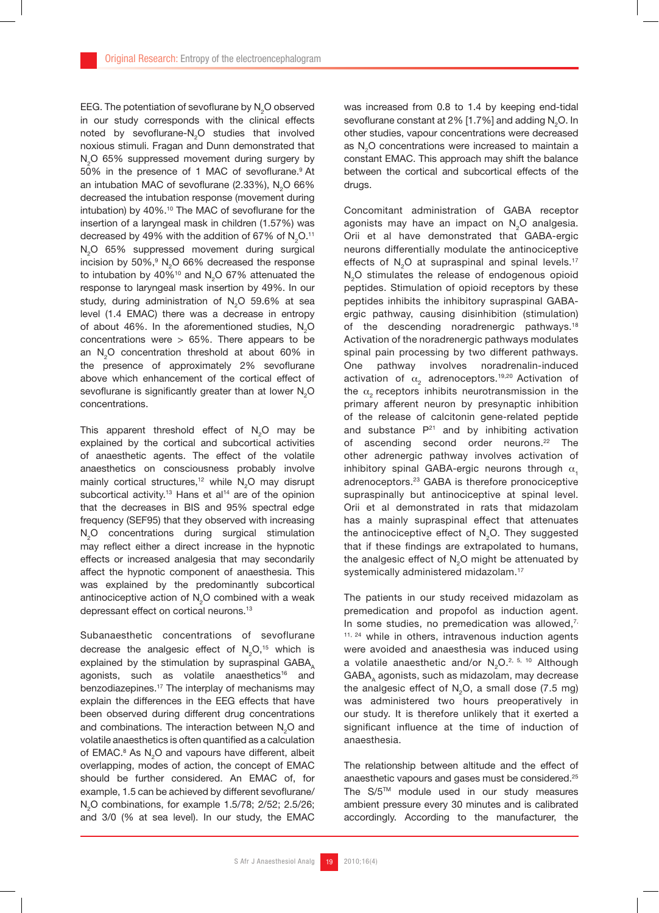EEG. The potentiation of sevoflurane by  $N_{2}$ O observed in our study corresponds with the clinical effects noted by sevoflurane- $N_{2}$ O studies that involved noxious stimuli. Fragan and Dunn demonstrated that N<sub>2</sub>O 65% suppressed movement during surgery by 50% in the presence of 1 MAC of sevoflurane.<sup>9</sup> At an intubation MAC of sevoflurane (2.33%), N<sub>2</sub>O 66% decreased the intubation response (movement during intubation) by 40%.<sup>10</sup> The MAC of sevoflurane for the insertion of a laryngeal mask in children (1.57%) was decreased by 49% with the addition of 67% of N<sub>2</sub>O.11 N<sub>2</sub>O 65% suppressed movement during surgical incision by 50%, $^9$  N<sub>2</sub>O 66% decreased the response to intubation by 40%<sup>10</sup> and N<sub>2</sub>O 67% attenuated the response to laryngeal mask insertion by 49%. In our study, during administration of  $N_2O$  59.6% at sea level (1.4 EMAC) there was a decrease in entropy of about 46%. In the aforementioned studies,  $N_2$ O concentrations were  $> 65\%$ . There appears to be an N<sub>2</sub>O concentration threshold at about 60% in the presence of approximately 2% sevoflurane above which enhancement of the cortical effect of sevoflurane is significantly greater than at lower  $\mathsf{N}_{\scriptscriptstyle{2}}\mathsf{O}$ concentrations.

This apparent threshold effect of  $N_{2}$ O may be explained by the cortical and subcortical activities of anaesthetic agents. The effect of the volatile anaesthetics on consciousness probably involve mainly cortical structures,<sup>12</sup> while  $N_2O$  may disrupt subcortical activity.<sup>13</sup> Hans et al<sup>14</sup> are of the opinion that the decreases in BIS and 95% spectral edge frequency (SEF95) that they observed with increasing  $N_2$ O concentrations during surgical stimulation may reflect either a direct increase in the hypnotic effects or increased analgesia that may secondarily affect the hypnotic component of anaesthesia. This was explained by the predominantly subcortical antinociceptive action of  $N_{2}$ O combined with a weak depressant effect on cortical neurons.<sup>13</sup>

Subanaesthetic concentrations of sevoflurane decrease the analgesic effect of  $N_2O,^{15}$  which is explained by the stimulation by supraspinal  $GABA_A$ agonists, such as volatile anaesthetics<sup>16</sup> and benzodiazepines.17 The interplay of mechanisms may explain the differences in the EEG effects that have been observed during different drug concentrations and combinations. The interaction between  $\mathsf{N}_{2}\mathsf{O}$  and volatile anaesthetics is often quantified as a calculation of EMAC. $8$  As N<sub>2</sub>O and vapours have different, albeit overlapping, modes of action, the concept of EMAC should be further considered. An EMAC of, for example, 1.5 can be achieved by different sevoflurane/  $N_2O$  combinations, for example 1.5/78; 2/52; 2.5/26; and 3/0 (% at sea level). In our study, the EMAC

was increased from 0.8 to 1.4 by keeping end-tidal sevoflurane constant at 2% [1.7%] and adding N<sub>2</sub>O. In other studies, vapour concentrations were decreased as  $N_2$ O concentrations were increased to maintain a constant EMAC. This approach may shift the balance between the cortical and subcortical effects of the drugs.

Concomitant administration of GABA receptor agonists may have an impact on N<sub>2</sub>O analgesia. Orii et al have demonstrated that GABA-ergic neurons differentially modulate the antinociceptive effects of  $N_{0}$ O at supraspinal and spinal levels.<sup>17</sup> N<sub>2</sub>O stimulates the release of endogenous opioid peptides. Stimulation of opioid receptors by these peptides inhibits the inhibitory supraspinal GABAergic pathway, causing disinhibition (stimulation) of the descending noradrenergic pathways.<sup>18</sup> Activation of the noradrenergic pathways modulates spinal pain processing by two different pathways. One pathway involves noradrenalin-induced activation of  $\alpha_2$  adrenoceptors.<sup>19,20</sup> Activation of the  $\alpha$ , receptors inhibits neurotransmission in the primary afferent neuron by presynaptic inhibition of the release of calcitonin gene-related peptide and substance  $P^{21}$  and by inhibiting activation of ascending second order neurons.<sup>22</sup> The other adrenergic pathway involves activation of inhibitory spinal GABA-ergic neurons through  $\alpha$ adrenoceptors.23 GABA is therefore pronociceptive supraspinally but antinociceptive at spinal level. Orii et al demonstrated in rats that midazolam has a mainly supraspinal effect that attenuates the antinociceptive effect of N<sub>2</sub>O. They suggested that if these findings are extrapolated to humans, the analgesic effect of N<sub>2</sub>O might be attenuated by systemically administered midazolam.<sup>17</sup>

The patients in our study received midazolam as premedication and propofol as induction agent. In some studies, no premedication was allowed, $7$ , <sup>11, 24</sup> while in others, intravenous induction agents were avoided and anaesthesia was induced using a volatile anaesthetic and/or  $N_{2}O^{2.5, 10}$  Although GABA, agonists, such as midazolam, may decrease the analgesic effect of  $N<sub>2</sub>O$ , a small dose (7.5 mg) was administered two hours preoperatively in our study. It is therefore unlikely that it exerted a significant influence at the time of induction of anaesthesia.

The relationship between altitude and the effect of anaesthetic vapours and gases must be considered.25 The S/5TM module used in our study measures ambient pressure every 30 minutes and is calibrated accordingly. According to the manufacturer, the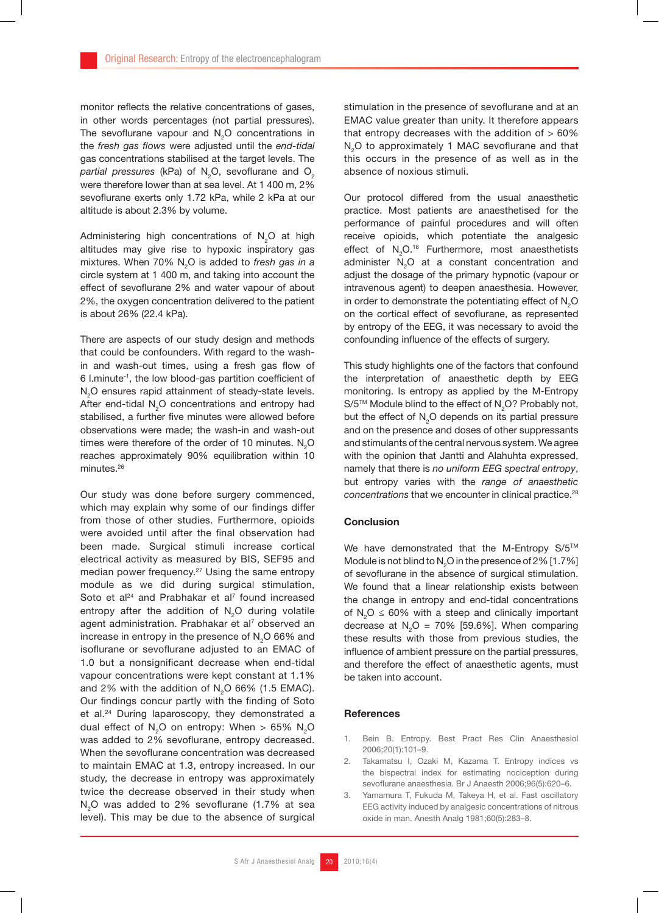monitor reflects the relative concentrations of gases, in other words percentages (not partial pressures). The sevoflurane vapour and  $N_{2}$ O concentrations in the *fresh gas flows* were adjusted until the *end-tidal* gas concentrations stabilised at the target levels. The *partial pressures* (kPa) of N<sub>2</sub>O, sevoflurane and O<sub>2</sub> were therefore lower than at sea level. At 1 400 m, 2% sevo flurane exerts only 1.72 kPa, while 2 kPa at our altitude is about 2.3% by volume.

Administering high concentrations of  $N_{2}$ O at high altitudes may give rise to hypoxic inspiratory gas mixtures. When 70% N2 O is added to *fresh gas in a*  circle system at 1 400 m, and taking into account the effect of sevoflurane 2% and water vapour of about 2%, the oxygen concentration delivered to the patient is about 26% (22.4 kPa).

There are aspects of our study design and methods that could be confounders. With regard to the washin and wash-out times, using a fresh gas flow of  $6$  l.minute<sup>-1</sup>, the low blood-gas partition coefficient of  $\rm N_{2}O$  ensures rapid attainment of steady-state levels. After end-tidal  $N_2$ O concentrations and entropy had stabilised, a further five minutes were allowed before observations were made; the wash-in and wash-out times were therefore of the order of 10 minutes.  $N_{2}$ O reaches approximately 90% equilibration within 10 minutes.26

Our study was done before surgery commenced, which may explain why some of our findings differ from those of other studies. Furthermore, opioids were avoided until after the final observation had been made. Surgical stimuli increase cortical electrical activity as measured by BIS, SEF95 and median power frequency.<sup>27</sup> Using the same entropy module as we did during surgical stimulation, Soto et al<sup>24</sup> and Prabhakar et al<sup>7</sup> found increased entropy after the addition of N<sub>2</sub>O during volatile agent administration. Prabhakar et al<sup>7</sup> observed an increase in entropy in the presence of N<sub>2</sub>O 66% and iso flurane or sevo flurane adjusted to an EMAC of 1.0 but a nonsignificant decrease when end-tidal vapour concentrations were kept constant at 1.1% and 2% with the addition of  $N<sub>2</sub>O$  66% (1.5 EMAC). Our findings concur partly with the finding of Soto et al.<sup>24</sup> During laparoscopy, they demonstrated a dual effect of N<sub>2</sub>O on entropy: When  $> 65\%$  N<sub>2</sub>O was added to 2% sevoflurane, entropy decreased. When the sevoflurane concentration was decreased to maintain EMAC at 1.3, entropy increased. In our study, the decrease in entropy was approximately twice the decrease observed in their study when  $N<sub>2</sub>O$  was added to 2% sevoflurane (1.7% at sea level). This may be due to the absence of surgical

stimulation in the presence of sevoflurane and at an EMAC value greater than unity. It therefore appears that entropy decreases with the addition of  $> 60\%$ N<sub>2</sub>O to approximately 1 MAC sevoflurane and that this occurs in the presence of as well as in the absence of noxious stimuli.

Our protocol differed from the usual anaesthetic practice. Most patients are anaesthetised for the performance of painful procedures and will often receive opioids, which potentiate the analgesic effect of  $N_2O^{18}$  Furthermore, most anaesthetists administer  $N_2O$  at a constant concentration and adjust the dosage of the primary hypnotic (vapour or intravenous agent) to deepen anaesthesia. However, in order to demonstrate the potentiating effect of  $\mathsf{N}_{2}\mathsf{O}$ on the cortical effect of sevoflurane, as represented by entropy of the EEG, it was necessary to avoid the confounding influence of the effects of surgery.

This study highlights one of the factors that confound the interpretation of anaesthetic depth by EEG monitoring. Is entropy as applied by the M-Entropy S/5™ Module blind to the effect of  $\mathsf{N}_{2}$ O? Probably not, but the effect of  $N_2O$  depends on its partial pressure and on the presence and doses of other suppressants and stimulants of the central nervous system. We agree with the opinion that Jantti and Alahuhta expressed, namely that there is *no uniform EEG spectral entropy*, but entropy varies with the *range of anaesthetic concentrations* that we encounter in clinical practice.<sup>28</sup>

# **Conclusion**

We have demonstrated that the M-Entropy S/5™ Module is not blind to  $\textsf{N}_{2}\textsf{O}$  in the presence of 2%  $[1.7\%]$ of sevoflurane in the absence of surgical stimulation. We found that a linear relationship exists between the change in entropy and end-tidal concentrations of  $N_2O \leq 60\%$  with a steep and clinically important decrease at  $N_2O = 70\%$  [59.6%]. When comparing these results with those from previous studies, the influence of ambient pressure on the partial pressures, and therefore the effect of anaesthetic agents, must be taken into account.

#### References

- 1. Bein B. Entropy. Best Pract Res Clin Anaesthesiol 2006;20(1):101–9.
- 2. Takamatsu I, Ozaki M, Kazama T. Entropy indices vs the bispectral index for estimating nociception during sevo flurane anaesthesia. Br J Anaesth 2006;96(5):620-6.
- 3. Yamamura T, Fukuda M, Takeya H, et al. Fast oscillatory EEG activity induced by analgesic concentrations of nitrous oxide in man. Anesth Analg 1981;60(5):283–8.